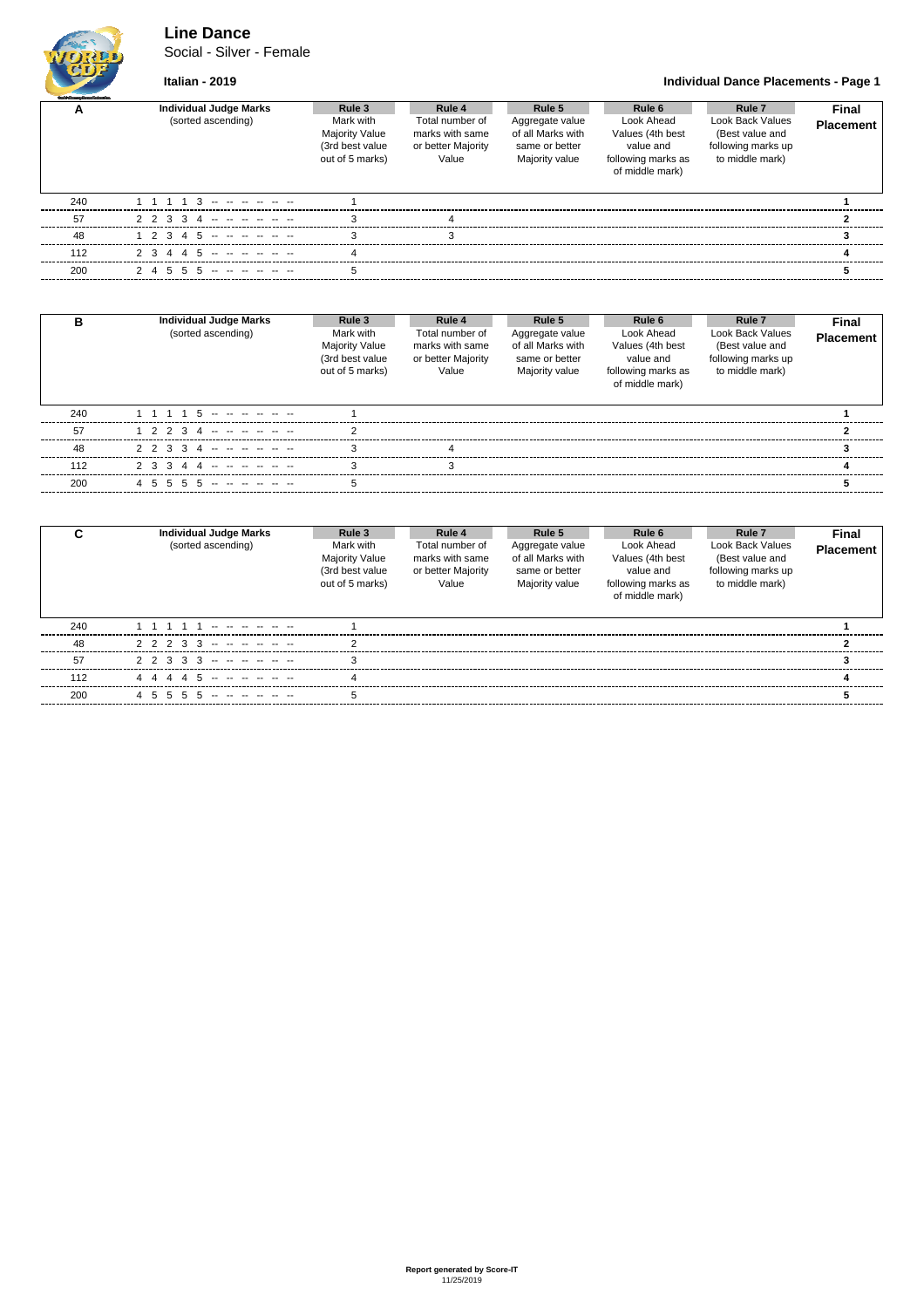## **Line Dance**

Social - Silver - Female



### **Italian - 2019 Individual Dance Placements - Page 1**

| <b>Guild Gauge Dave Februaries</b> |                               |                                                                          |                                                                   |                                                                          |                                                                                      |                                                                              |              |
|------------------------------------|-------------------------------|--------------------------------------------------------------------------|-------------------------------------------------------------------|--------------------------------------------------------------------------|--------------------------------------------------------------------------------------|------------------------------------------------------------------------------|--------------|
|                                    | <b>Individual Judge Marks</b> | Rule 3                                                                   | Rule 4                                                            | Rule 5                                                                   | Rule 6                                                                               | Rule <sub>7</sub>                                                            | <b>Final</b> |
|                                    | (sorted ascending)            | Mark with<br><b>Majority Value</b><br>(3rd best value<br>out of 5 marks) | Total number of<br>marks with same<br>or better Majority<br>Value | Aggregate value<br>of all Marks with<br>same or better<br>Majority value | Look Ahead<br>Values (4th best<br>value and<br>following marks as<br>of middle mark) | Look Back Values<br>(Best value and<br>following marks up<br>to middle mark) | Placement    |
| 240                                |                               |                                                                          |                                                                   |                                                                          |                                                                                      |                                                                              |              |
| 57                                 | 2 2 3 3 4 -- -- -- -- --      |                                                                          |                                                                   |                                                                          |                                                                                      |                                                                              |              |
| 48                                 | $2$ 3 4 5 -- -- -- --         |                                                                          |                                                                   |                                                                          |                                                                                      |                                                                              |              |
| 112                                | 2 3 4 4 5 -- -- -- -- --      |                                                                          |                                                                   |                                                                          |                                                                                      |                                                                              |              |
| 200                                | 2 4 5 5 5 -- -- -- -- --      |                                                                          |                                                                   |                                                                          |                                                                                      |                                                                              |              |

| D   | <b>Individual Judge Marks</b><br>(sorted ascending) | Rule 3<br>Mark with<br><b>Majority Value</b><br>(3rd best value<br>out of 5 marks) | Rule 4<br>Total number of<br>marks with same<br>or better Majority<br>Value | Rule 5<br>Aggregate value<br>of all Marks with<br>same or better<br>Majority value | Rule 6<br>Look Ahead<br>Values (4th best<br>value and<br>following marks as<br>of middle mark) | Rule <sub>7</sub><br>Look Back Values<br>(Best value and<br>following marks up<br>to middle mark) | Final<br><b>Placement</b> |
|-----|-----------------------------------------------------|------------------------------------------------------------------------------------|-----------------------------------------------------------------------------|------------------------------------------------------------------------------------|------------------------------------------------------------------------------------------------|---------------------------------------------------------------------------------------------------|---------------------------|
| 240 | 1 1 1 1 5 -- -- -- -- --                            |                                                                                    |                                                                             |                                                                                    |                                                                                                |                                                                                                   |                           |
| 57  | 1 2 2 3 4 - - - - - - -                             |                                                                                    |                                                                             |                                                                                    |                                                                                                |                                                                                                   |                           |
| -48 | 2 2 3 3 4 -- -- -- -- --                            |                                                                                    |                                                                             |                                                                                    |                                                                                                |                                                                                                   |                           |
| 112 | 2 3 3 4 4 -- -- -- -- --                            |                                                                                    |                                                                             |                                                                                    |                                                                                                |                                                                                                   |                           |
| 200 | 4 5 5 5 5<br>the team and the team and              |                                                                                    |                                                                             |                                                                                    |                                                                                                |                                                                                                   |                           |

| ~   | <b>Individual Judge Marks</b><br>(sorted ascending) | Rule 3<br>Mark with<br>Majority Value<br>(3rd best value<br>out of 5 marks) | Rule 4<br>Total number of<br>marks with same<br>or better Majority<br>Value | Rule 5<br>Aggregate value<br>of all Marks with<br>same or better<br>Majority value | Rule 6<br>Look Ahead<br>Values (4th best<br>value and<br>following marks as<br>of middle mark) | Rule <sub>7</sub><br>Look Back Values<br>(Best value and<br>following marks up<br>to middle mark) | <b>Final</b><br><b>Placement</b> |
|-----|-----------------------------------------------------|-----------------------------------------------------------------------------|-----------------------------------------------------------------------------|------------------------------------------------------------------------------------|------------------------------------------------------------------------------------------------|---------------------------------------------------------------------------------------------------|----------------------------------|
| 240 |                                                     |                                                                             |                                                                             |                                                                                    |                                                                                                |                                                                                                   |                                  |
| 48  | $2$ 2 2 3 3 -- -- -- -- --                          |                                                                             |                                                                             |                                                                                    |                                                                                                |                                                                                                   |                                  |
| 57  | $2$ 2 3 3 3 --------                                |                                                                             |                                                                             |                                                                                    |                                                                                                |                                                                                                   |                                  |
| 112 | 445                                                 |                                                                             |                                                                             |                                                                                    |                                                                                                |                                                                                                   |                                  |
| 200 | 4 5 5 5 5 -------                                   | 5                                                                           |                                                                             |                                                                                    |                                                                                                |                                                                                                   |                                  |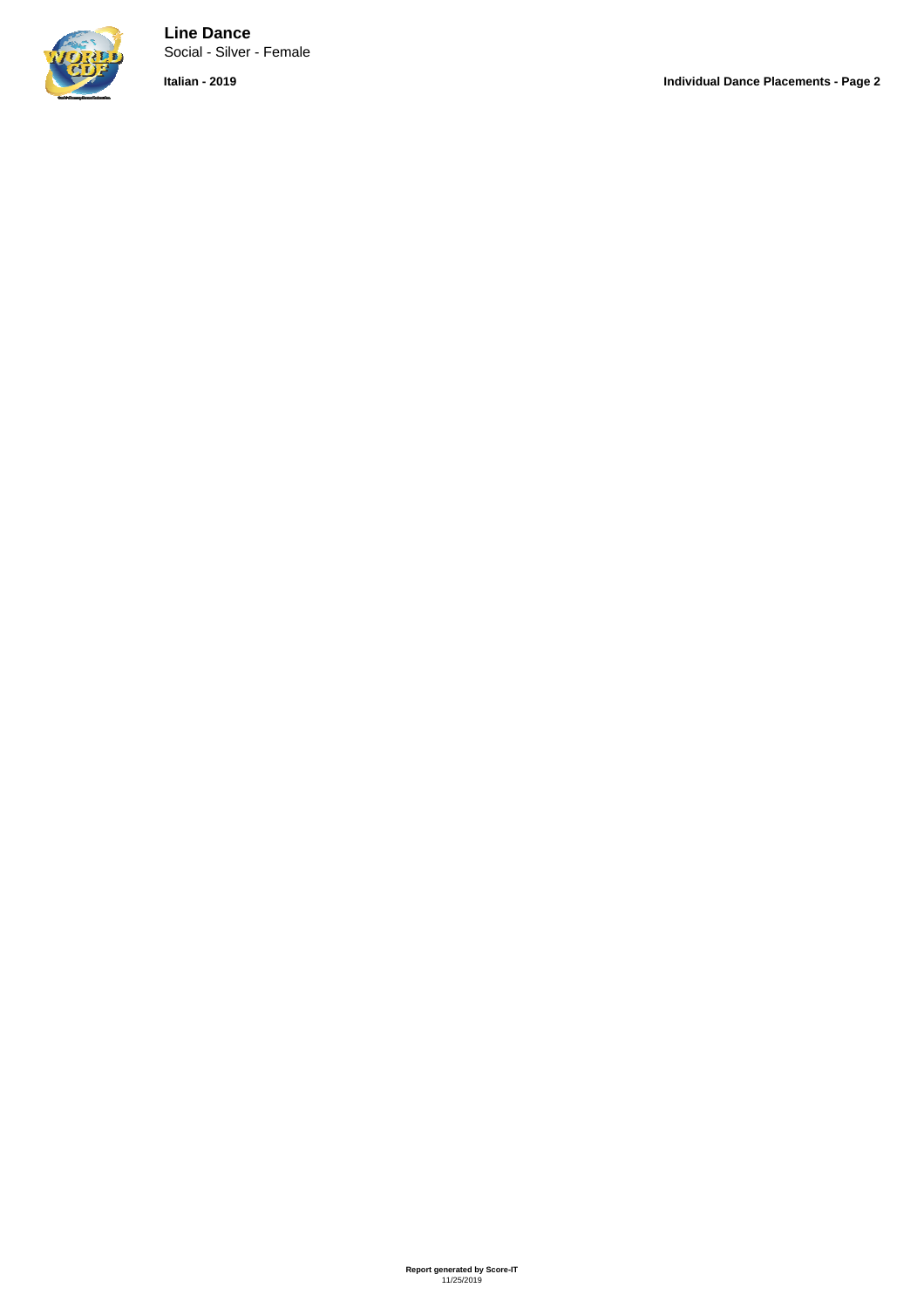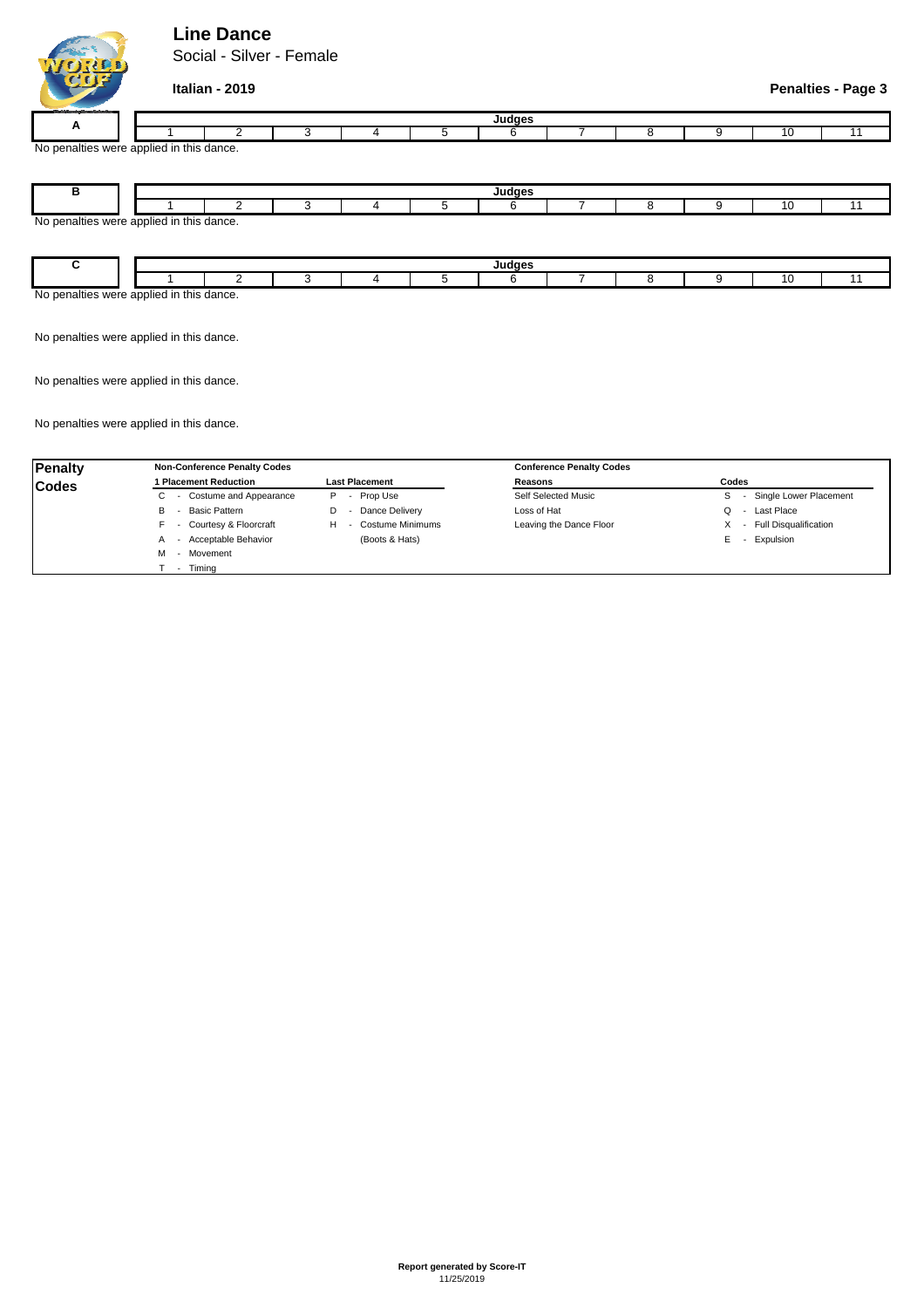## **Line Dance**

Social - Silver - Female



**Italian - 2019 Penalties - Page 3**

No penalties were applied in this dance. **<sup>A</sup>** 2 3 <sup>11</sup> **Judges** 4 | 5 | 6 | 7 | 8 | 9 1 | 2 | 3 | 4 | 5 | 6 | 7 | 8 | 9 | 10

No penalties were applied in this dance. **B Judges** 1 | 2 | 3 | 4 | 5 | 6 | 7 | 8 9 10 11

|             |                               | الطماء ال<br>vu, |  |  |  |  |  |  |  |  |  |  |
|-------------|-------------------------------|------------------|--|--|--|--|--|--|--|--|--|--|
|             |                               |                  |  |  |  |  |  |  |  |  |  |  |
| nnes<br>INU | s were applied in this dance. |                  |  |  |  |  |  |  |  |  |  |  |

No penalties were applied in this dance.

No penalties were applied in this dance.

No penalties were applied in this dance.

| <b>Penalty</b> | <b>Non-Conference Penalty Codes</b> |                              | <b>Conference Penalty Codes</b> |                                        |
|----------------|-------------------------------------|------------------------------|---------------------------------|----------------------------------------|
| <b>Codes</b>   | 1 Placement Reduction               | <b>Last Placement</b>        | Reasons                         | Codes                                  |
|                | - Costume and Appearance<br>U       | Prop Use<br>P<br>$\sim$      | Self Selected Music             | Single Lower Placement<br>$\sim$       |
|                | Basic Pattern<br>В                  | Dance Delivery               | Loss of Hat                     | Last Place<br>Q                        |
|                | - Courtesy & Floorcraft             | <b>Costume Minimums</b><br>н | Leaving the Dance Floor         | <b>Full Disqualification</b><br>$\sim$ |
|                | - Acceptable Behavior<br>A          | (Boots & Hats)               |                                 | Expulsion<br>E.                        |
|                | - Movement                          |                              |                                 |                                        |
|                | Timina                              |                              |                                 |                                        |